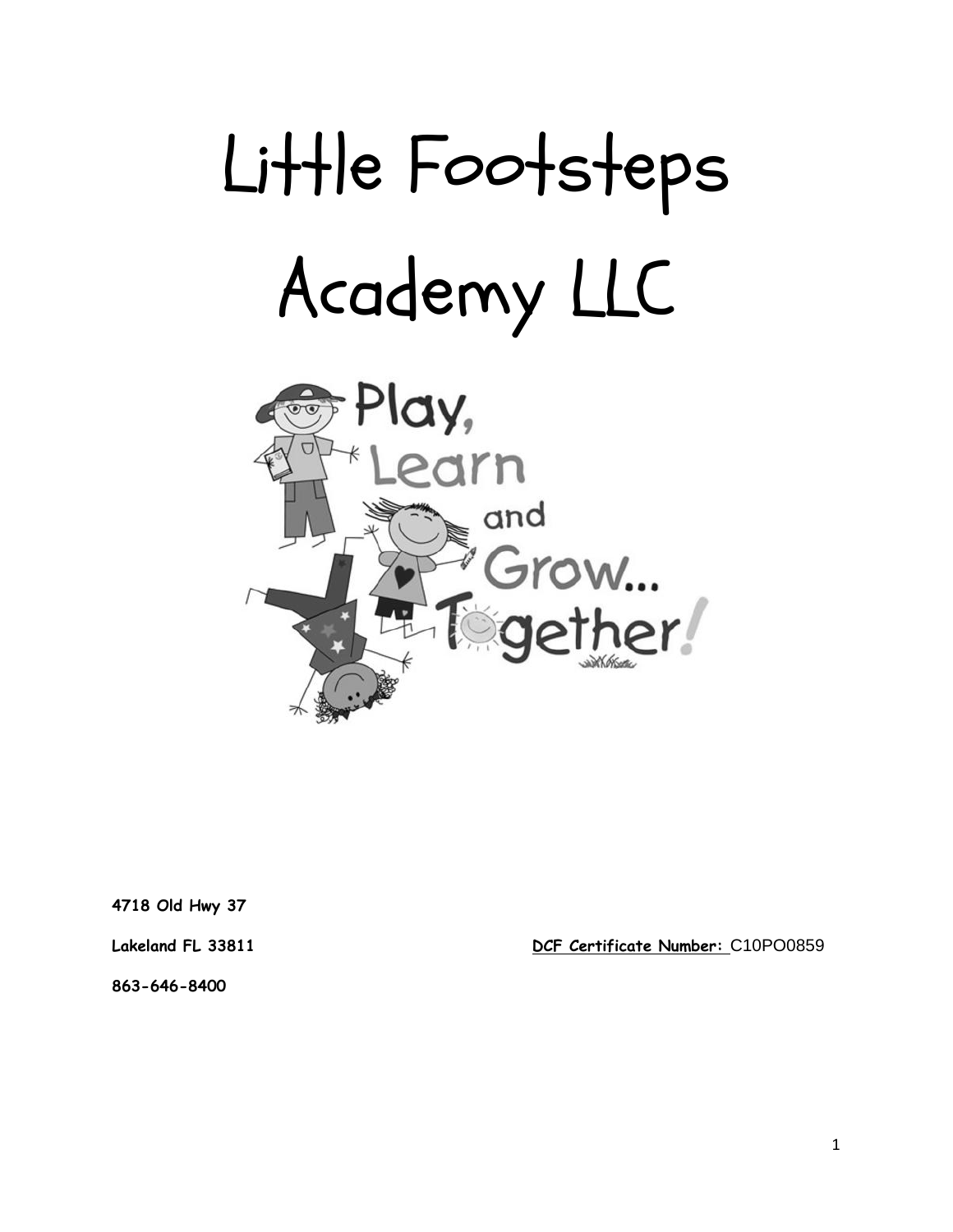



**4718 Old Hwy 37**

**Lakeland FL 33811 DCF Certificate Number:** C10PO0859

**863-646-8400**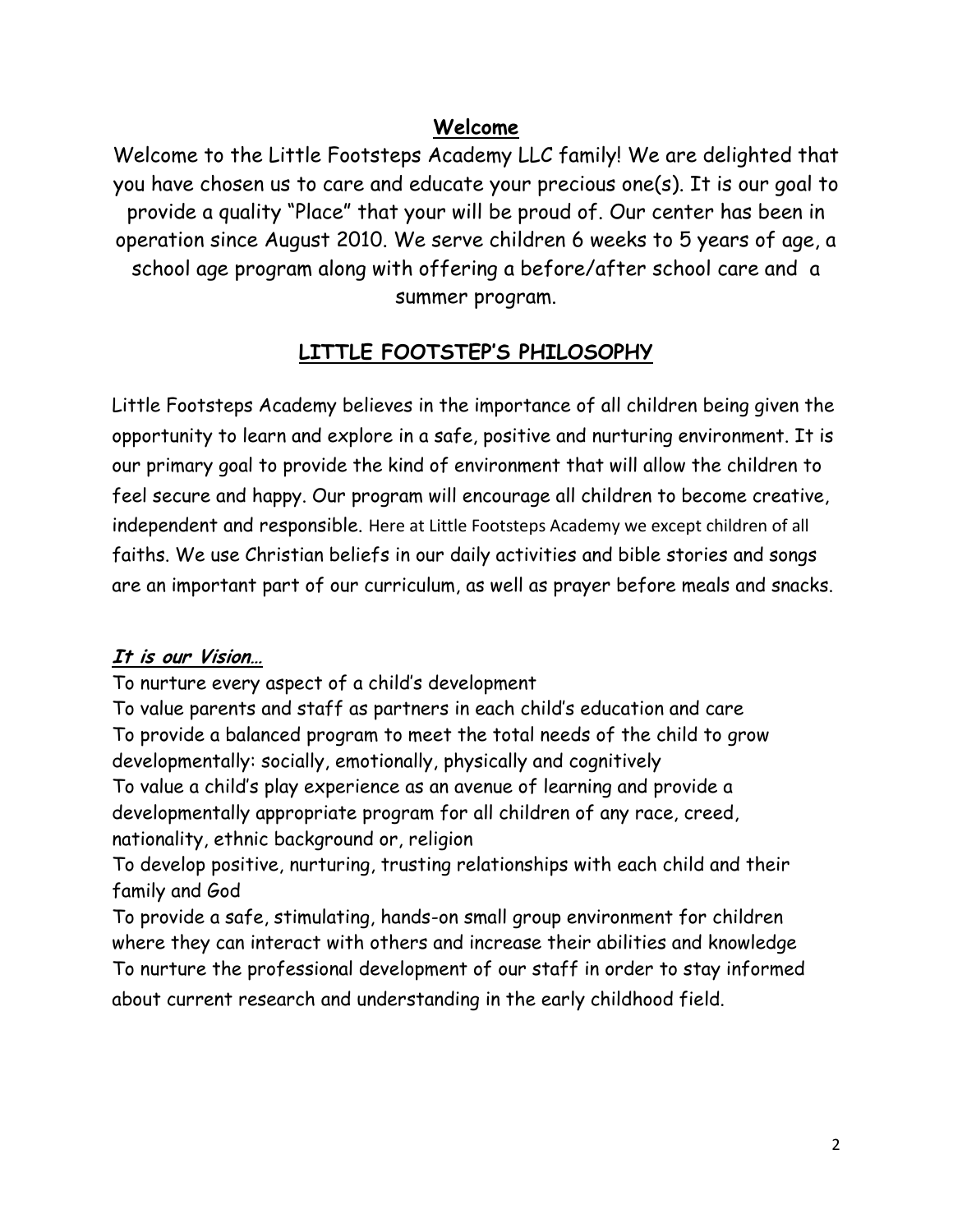## **Welcome**

Welcome to the Little Footsteps Academy LLC family! We are delighted that you have chosen us to care and educate your precious one(s). It is our goal to provide a quality "Place" that your will be proud of. Our center has been in operation since August 2010. We serve children 6 weeks to 5 years of age, a school age program along with offering a before/after school care and a summer program.

# **LITTLE FOOTSTEP'S PHILOSOPHY**

Little Footsteps Academy believes in the importance of all children being given the opportunity to learn and explore in a safe, positive and nurturing environment. It is our primary goal to provide the kind of environment that will allow the children to feel secure and happy. Our program will encourage all children to become creative, independent and responsible. Here at Little Footsteps Academy we except children of all faiths. We use Christian beliefs in our daily activities and bible stories and songs are an important part of our curriculum, as well as prayer before meals and snacks.

### **It is our Vision…**

To nurture every aspect of a child's development

To value parents and staff as partners in each child's education and care To provide a balanced program to meet the total needs of the child to grow developmentally: socially, emotionally, physically and cognitively To value a child's play experience as an avenue of learning and provide a developmentally appropriate program for all children of any race, creed, nationality, ethnic background or, religion

To develop positive, nurturing, trusting relationships with each child and their family and God

To provide a safe, stimulating, hands-on small group environment for children where they can interact with others and increase their abilities and knowledge To nurture the professional development of our staff in order to stay informed about current research and understanding in the early childhood field.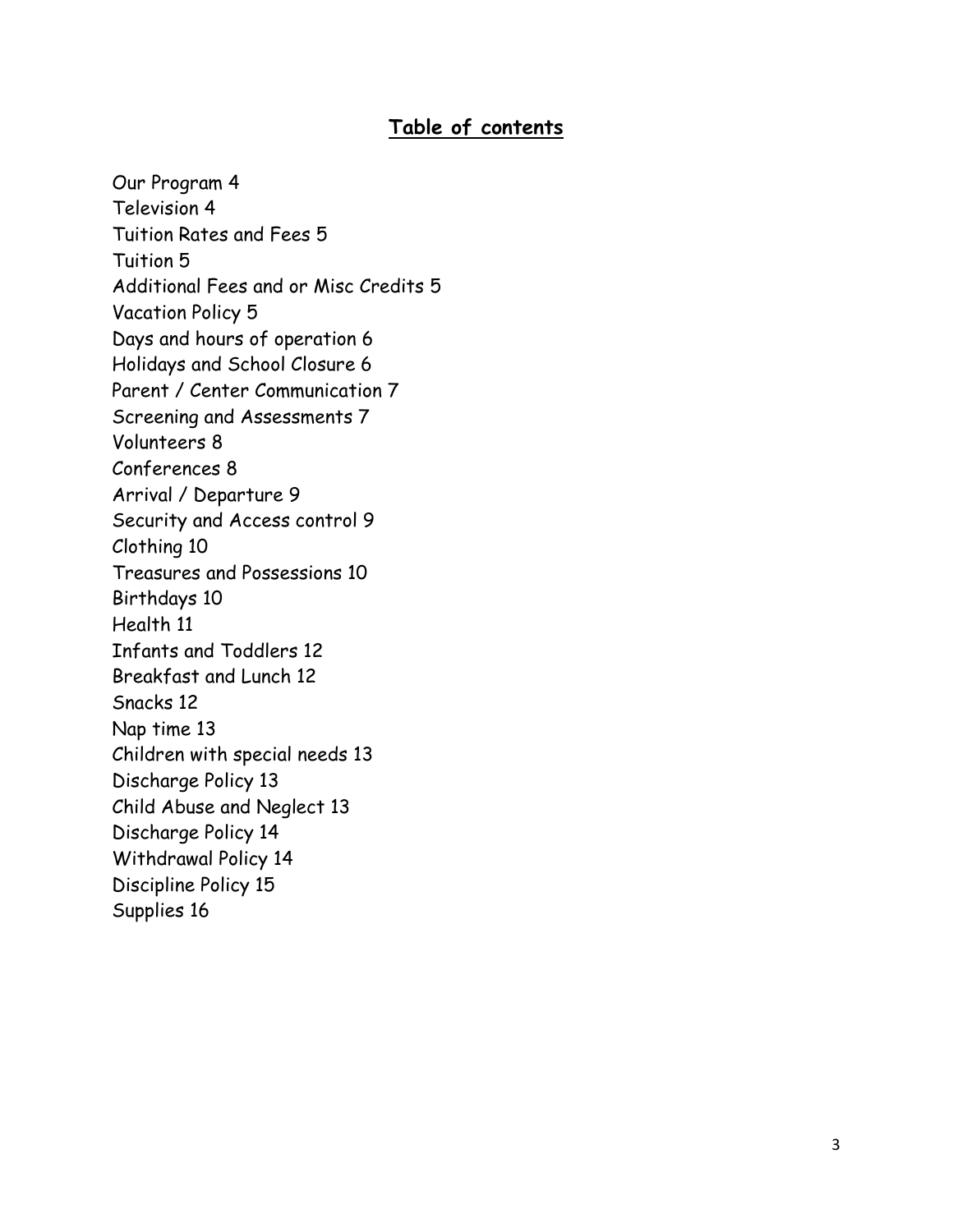## **Table of contents**

Our Program 4 Television 4 Tuition Rates and Fees 5 Tuition 5 Additional Fees and or Misc Credits 5 Vacation Policy 5 Days and hours of operation 6 Holidays and School Closure 6 Parent / Center Communication 7 Screening and Assessments 7 Volunteers 8 Conferences 8 Arrival / Departure 9 Security and Access control 9 Clothing 10 Treasures and Possessions 10 Birthdays 10 Health 11 Infants and Toddlers 12 Breakfast and Lunch 12 Snacks 12 Nap time 13 Children with special needs 13 Discharge Policy 13 Child Abuse and Neglect 13 Discharge Policy 14 Withdrawal Policy 14 Discipline Policy 15 Supplies 16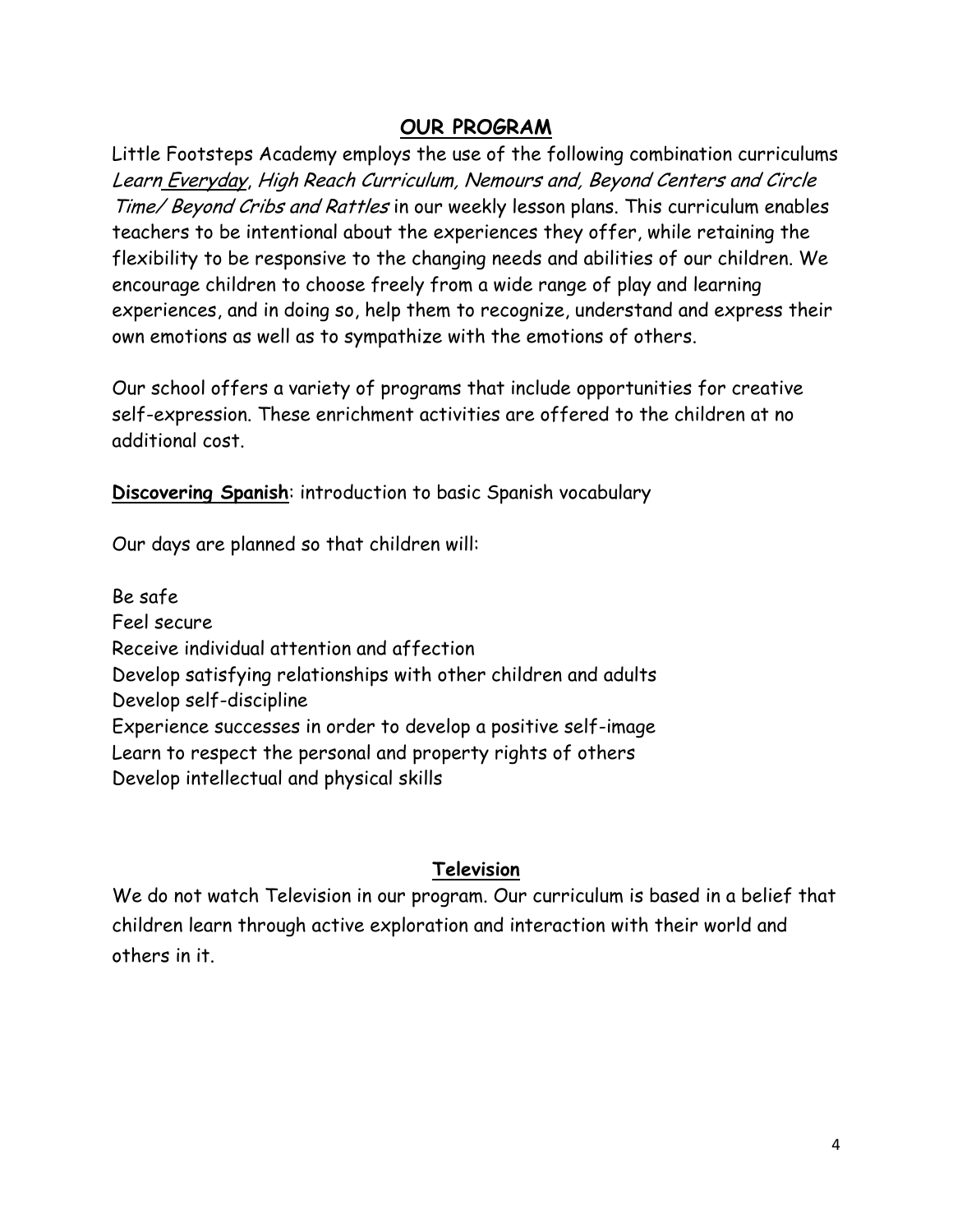## **OUR PROGRAM**

Little Footsteps Academy employs the use of the following combination curriculums Learn Everyday, High Reach Curriculum, Nemours and, Beyond Centers and Circle Time/ Beyond Cribs and Rattles in our weekly lesson plans. This curriculum enables teachers to be intentional about the experiences they offer, while retaining the flexibility to be responsive to the changing needs and abilities of our children. We encourage children to choose freely from a wide range of play and learning experiences, and in doing so, help them to recognize, understand and express their own emotions as well as to sympathize with the emotions of others.

Our school offers a variety of programs that include opportunities for creative self-expression. These enrichment activities are offered to the children at no additional cost.

**Discovering Spanish**: introduction to basic Spanish vocabulary

Our days are planned so that children will:

Be safe Feel secure Receive individual attention and affection Develop satisfying relationships with other children and adults Develop self-discipline Experience successes in order to develop a positive self-image Learn to respect the personal and property rights of others Develop intellectual and physical skills

### **Television**

We do not watch Television in our program. Our curriculum is based in a belief that children learn through active exploration and interaction with their world and others in it.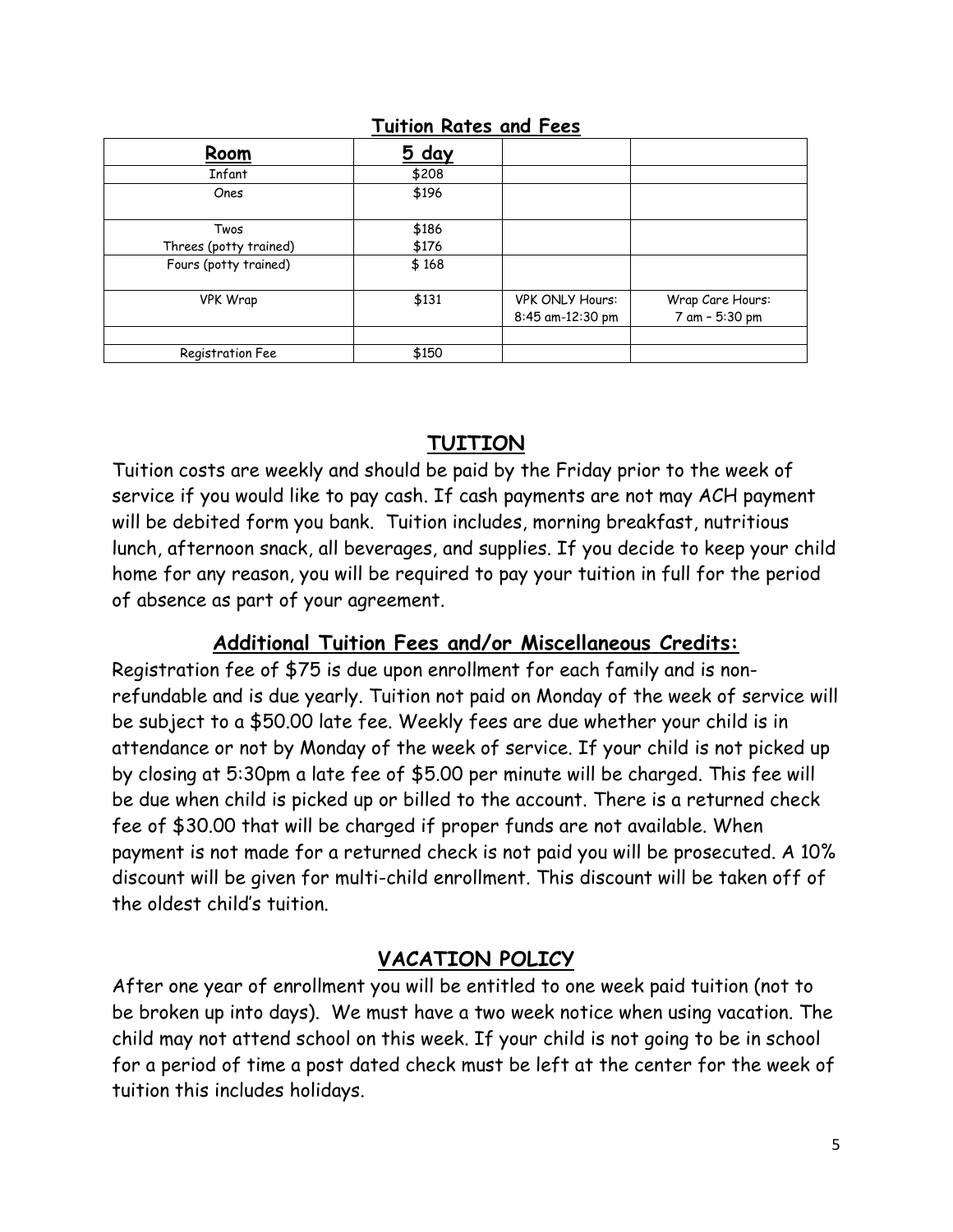### **Tuition Rates and Fees**

| Room                   | 5 day |                        |                  |
|------------------------|-------|------------------------|------------------|
| Infant                 | \$208 |                        |                  |
| Ones                   | \$196 |                        |                  |
| Twos                   | \$186 |                        |                  |
| Threes (potty trained) | \$176 |                        |                  |
| Fours (potty trained)  | \$168 |                        |                  |
| <b>VPK Wrap</b>        | \$131 | <b>VPK ONLY Hours:</b> | Wrap Care Hours: |
|                        |       | 8:45 am-12:30 pm       | 7 am - 5:30 pm   |
|                        |       |                        |                  |
| Registration Fee       | \$150 |                        |                  |

## **TUITION**

Tuition costs are weekly and should be paid by the Friday prior to the week of service if you would like to pay cash. If cash payments are not may ACH payment will be debited form you bank. Tuition includes, morning breakfast, nutritious lunch, afternoon snack, all beverages, and supplies. If you decide to keep your child home for any reason, you will be required to pay your tuition in full for the period of absence as part of your agreement.

## **Additional Tuition Fees and/or Miscellaneous Credits:**

Registration fee of \$75 is due upon enrollment for each family and is nonrefundable and is due yearly. Tuition not paid on Monday of the week of service will be subject to a \$50.00 late fee. Weekly fees are due whether your child is in attendance or not by Monday of the week of service. If your child is not picked up by closing at 5:30pm a late fee of \$5.00 per minute will be charged. This fee will be due when child is picked up or billed to the account. There is a returned check fee of \$30.00 that will be charged if proper funds are not available. When payment is not made for a returned check is not paid you will be prosecuted. A 10% discount will be given for multi-child enrollment. This discount will be taken off of the oldest child's tuition.

## **VACATION POLICY**

After one year of enrollment you will be entitled to one week paid tuition (not to be broken up into days). We must have a two week notice when using vacation. The child may not attend school on this week. If your child is not going to be in school for a period of time a post dated check must be left at the center for the week of tuition this includes holidays.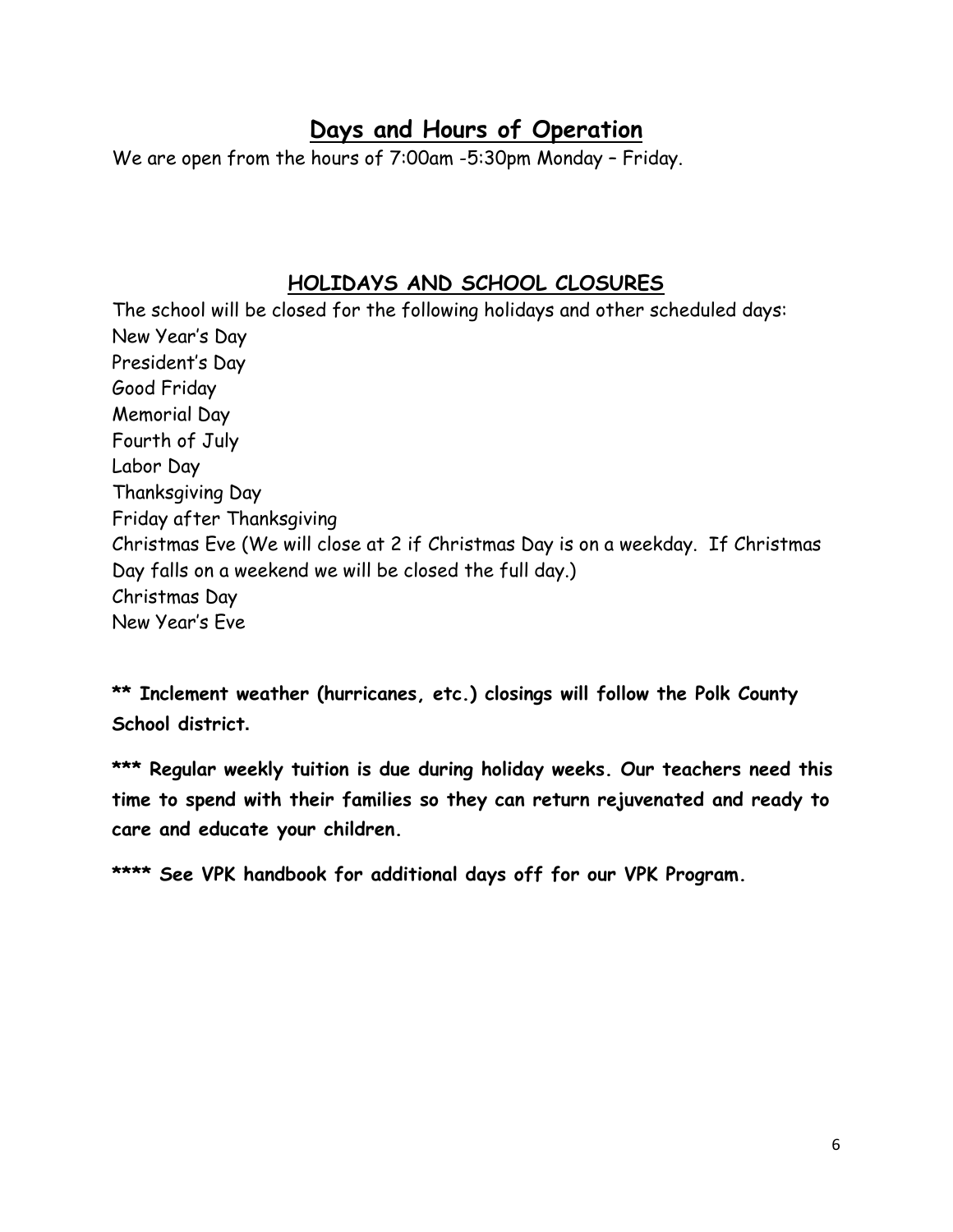# **Days and Hours of Operation**

We are open from the hours of 7:00am -5:30pm Monday – Friday.

## **HOLIDAYS AND SCHOOL CLOSURES**

The school will be closed for the following holidays and other scheduled days: New Year's Day President's Day Good Friday Memorial Day Fourth of July Labor Day Thanksgiving Day Friday after Thanksgiving Christmas Eve (We will close at 2 if Christmas Day is on a weekday. If Christmas Day falls on a weekend we will be closed the full day.) Christmas Day New Year's Eve

**\*\* Inclement weather (hurricanes, etc.) closings will follow the Polk County School district.**

**\*\*\* Regular weekly tuition is due during holiday weeks. Our teachers need this time to spend with their families so they can return rejuvenated and ready to care and educate your children.** 

**\*\*\*\* See VPK handbook for additional days off for our VPK Program.**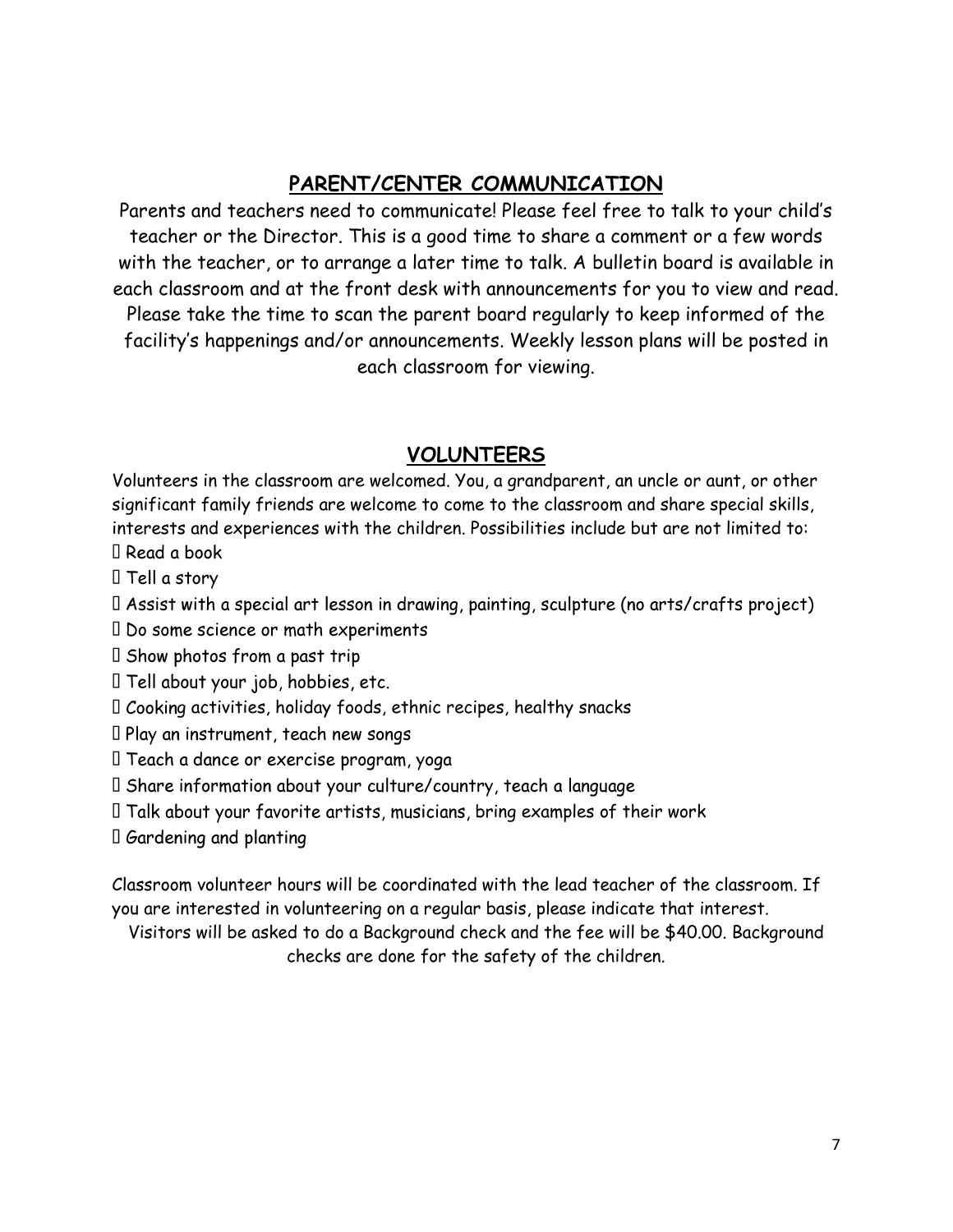## **PARENT/CENTER COMMUNICATION**

Parents and teachers need to communicate! Please feel free to talk to your child's teacher or the Director. This is a good time to share a comment or a few words with the teacher, or to arrange a later time to talk. A bulletin board is available in each classroom and at the front desk with announcements for you to view and read. Please take the time to scan the parent board regularly to keep informed of the facility's happenings and/or announcements. Weekly lesson plans will be posted in each classroom for viewing.

## **VOLUNTEERS**

Volunteers in the classroom are welcomed. You, a grandparent, an uncle or aunt, or other significant family friends are welcome to come to the classroom and share special skills, interests and experiences with the children. Possibilities include but are not limited to: I Read a book

I Tell a story

I Assist with a special art lesson in drawing, painting, sculpture (no arts/crafts project)

- I Do some science or math experiments
- I Show photos from a past trip
- I Tell about your job, hobbies, etc.
- $\Box$  Cooking activities, holiday foods, ethnic recipes, healthy snacks
- $\Box$  Play an instrument, teach new songs
- $\mathbb I$  Teach a dance or exercise program, yoga
- I Share information about your culture/country, teach a language
- $\Box$  Talk about your favorite artists, musicians, bring examples of their work
- $\square$  Gardening and planting

Classroom volunteer hours will be coordinated with the lead teacher of the classroom. If you are interested in volunteering on a regular basis, please indicate that interest.

Visitors will be asked to do a Background check and the fee will be \$40.00. Background checks are done for the safety of the children.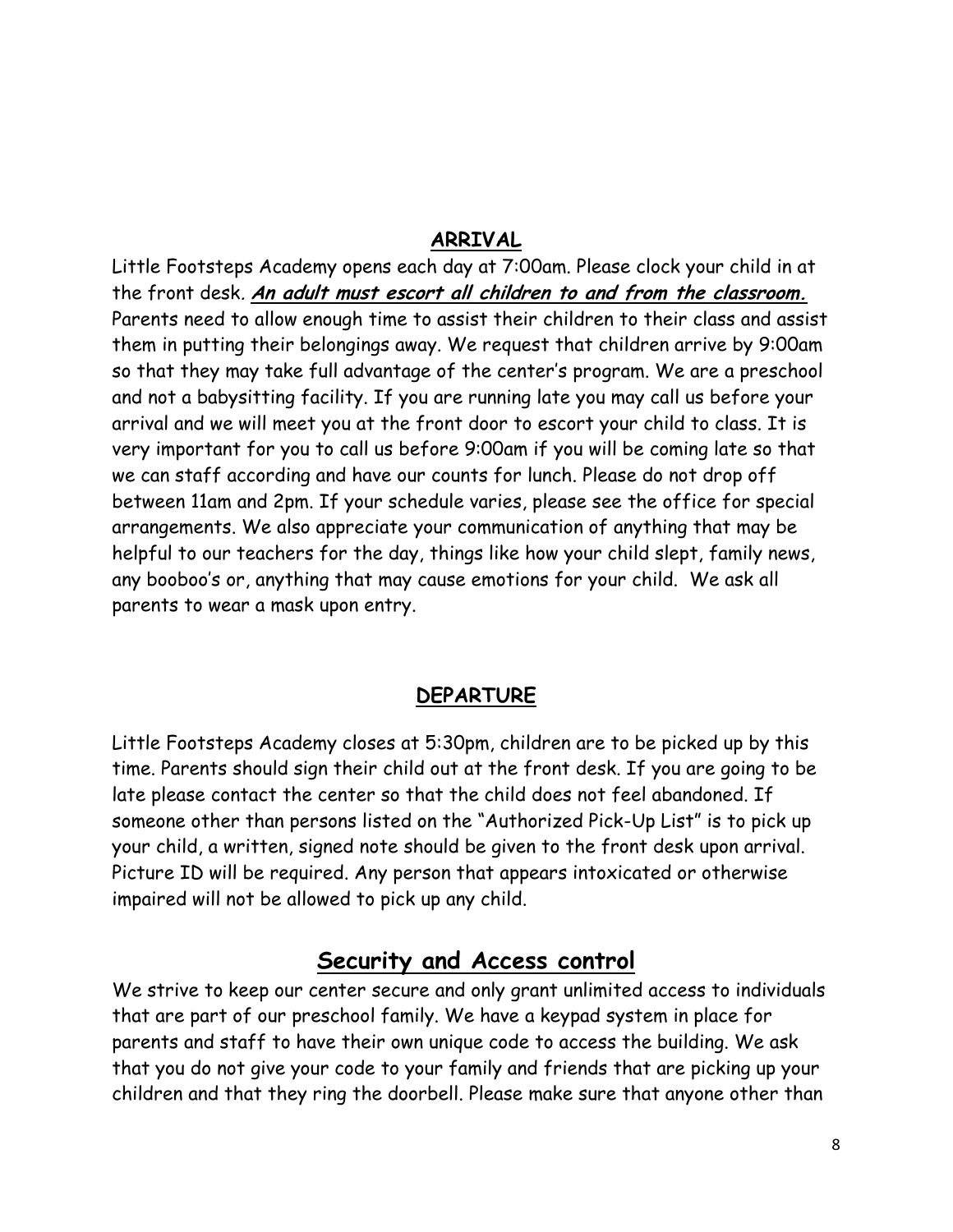### **ARRIVAL**

Little Footsteps Academy opens each day at 7:00am. Please clock your child in at the front desk. **An adult must escort all children to and from the classroom.** Parents need to allow enough time to assist their children to their class and assist them in putting their belongings away. We request that children arrive by 9:00am so that they may take full advantage of the center's program. We are a preschool and not a babysitting facility. If you are running late you may call us before your arrival and we will meet you at the front door to escort your child to class. It is very important for you to call us before 9:00am if you will be coming late so that we can staff according and have our counts for lunch. Please do not drop off between 11am and 2pm. If your schedule varies, please see the office for special arrangements. We also appreciate your communication of anything that may be helpful to our teachers for the day, things like how your child slept, family news, any booboo's or, anything that may cause emotions for your child. We ask all parents to wear a mask upon entry.

#### **DEPARTURE**

Little Footsteps Academy closes at 5:30pm, children are to be picked up by this time. Parents should sign their child out at the front desk. If you are going to be late please contact the center so that the child does not feel abandoned. If someone other than persons listed on the "Authorized Pick-Up List" is to pick up your child, a written, signed note should be given to the front desk upon arrival. Picture ID will be required. Any person that appears intoxicated or otherwise impaired will not be allowed to pick up any child.

## **Security and Access control**

We strive to keep our center secure and only grant unlimited access to individuals that are part of our preschool family. We have a keypad system in place for parents and staff to have their own unique code to access the building. We ask that you do not give your code to your family and friends that are picking up your children and that they ring the doorbell. Please make sure that anyone other than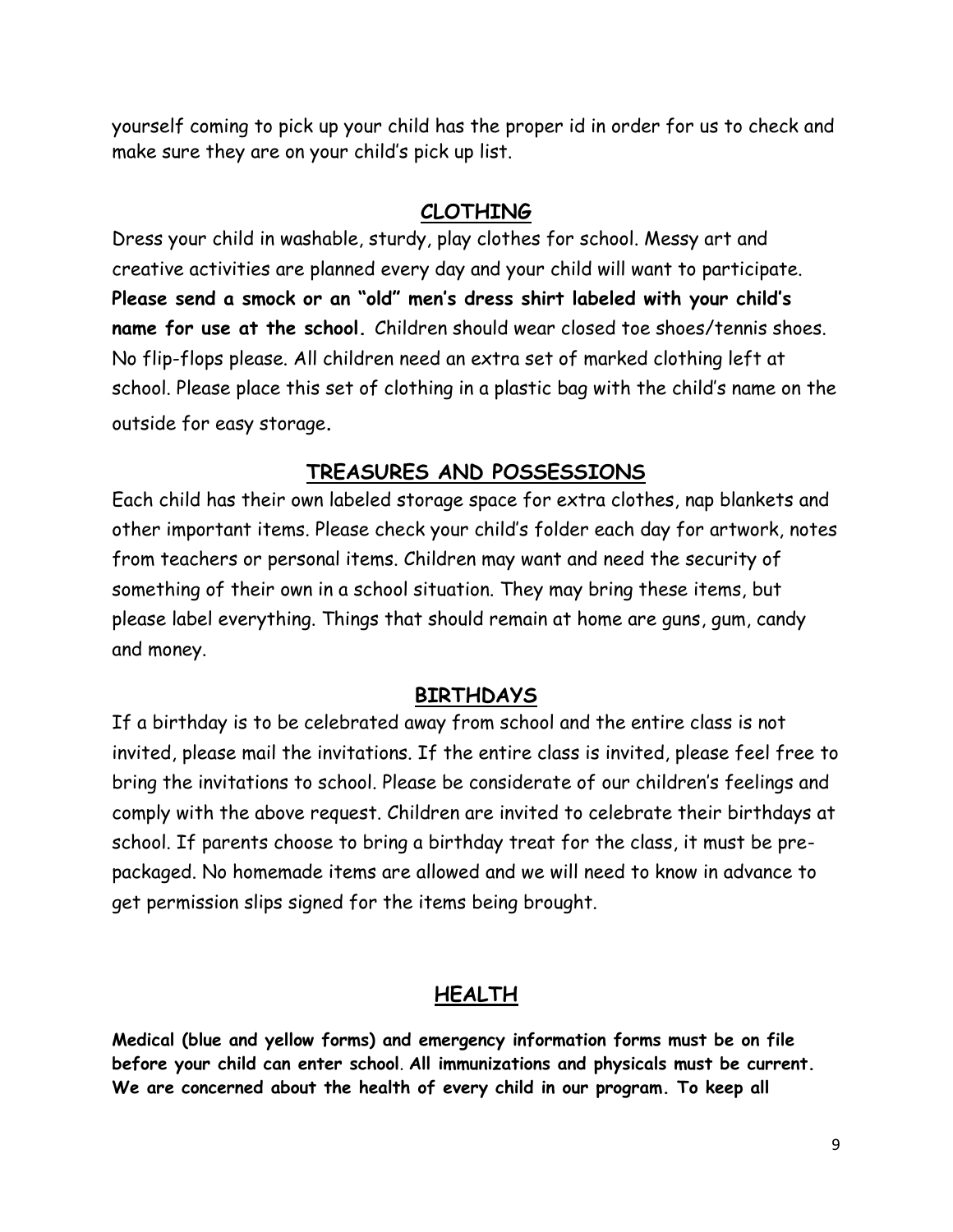yourself coming to pick up your child has the proper id in order for us to check and make sure they are on your child's pick up list.

#### **CLOTHING**

Dress your child in washable, sturdy, play clothes for school. Messy art and creative activities are planned every day and your child will want to participate. **Please send a smock or an "old" men's dress shirt labeled with your child's name for use at the school.** Children should wear closed toe shoes/tennis shoes. No flip-flops please. All children need an extra set of marked clothing left at school. Please place this set of clothing in a plastic bag with the child's name on the outside for easy storage.

## **TREASURES AND POSSESSIONS**

Each child has their own labeled storage space for extra clothes, nap blankets and other important items. Please check your child's folder each day for artwork, notes from teachers or personal items. Children may want and need the security of something of their own in a school situation. They may bring these items, but please label everything. Things that should remain at home are guns, gum, candy and money.

### **BIRTHDAYS**

If a birthday is to be celebrated away from school and the entire class is not invited, please mail the invitations. If the entire class is invited, please feel free to bring the invitations to school. Please be considerate of our children's feelings and comply with the above request. Children are invited to celebrate their birthdays at school. If parents choose to bring a birthday treat for the class, it must be prepackaged. No homemade items are allowed and we will need to know in advance to get permission slips signed for the items being brought.

### **HEALTH**

**Medical (blue and yellow forms) and emergency information forms must be on file before your child can enter school**. **All immunizations and physicals must be current. We are concerned about the health of every child in our program. To keep all**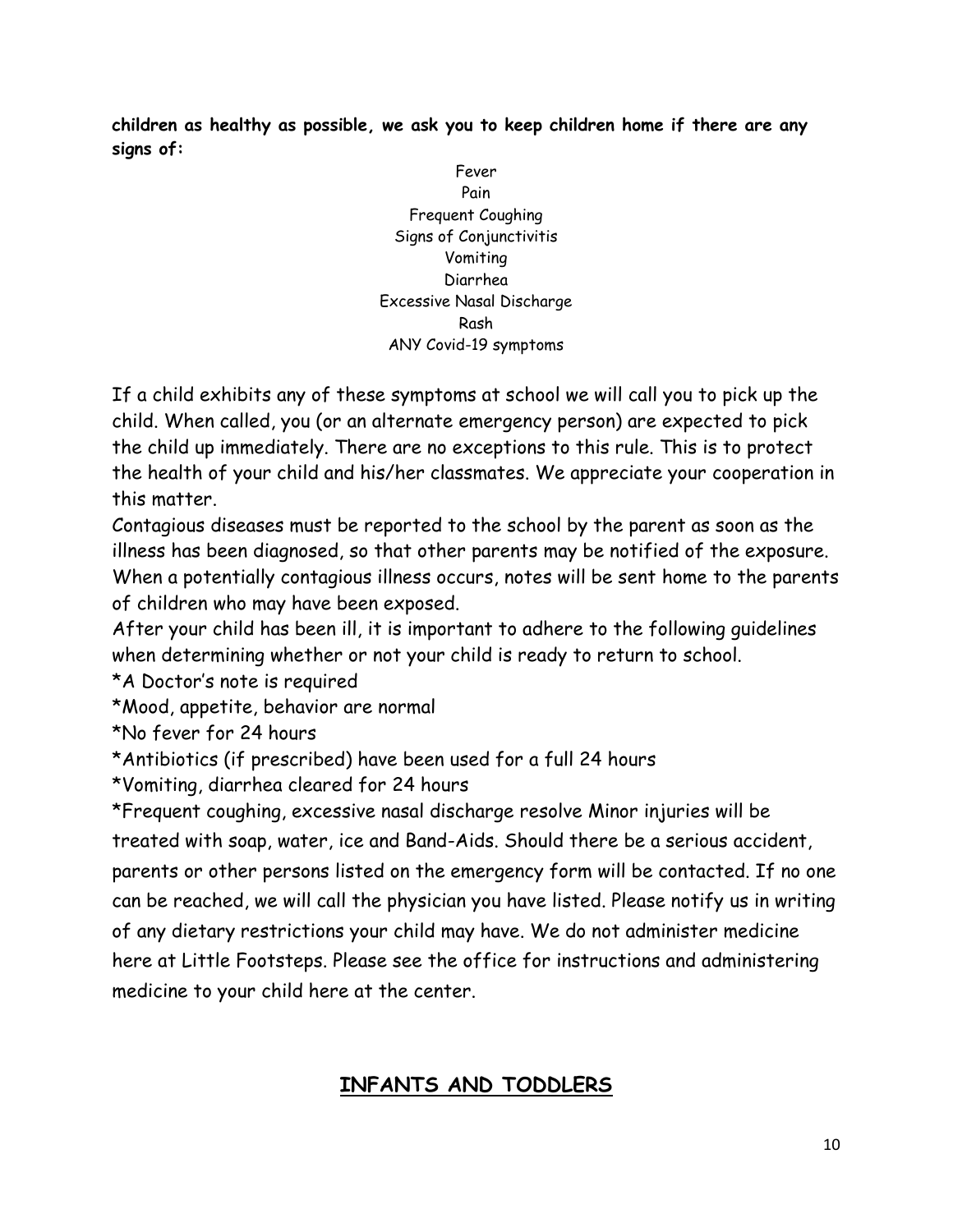**children as healthy as possible, we ask you to keep children home if there are any signs of:** 

> Fever Pain Frequent Coughing Signs of Conjunctivitis Vomiting Diarrhea Excessive Nasal Discharge Rash ANY Covid-19 symptoms

If a child exhibits any of these symptoms at school we will call you to pick up the child. When called, you (or an alternate emergency person) are expected to pick the child up immediately. There are no exceptions to this rule. This is to protect the health of your child and his/her classmates. We appreciate your cooperation in this matter.

Contagious diseases must be reported to the school by the parent as soon as the illness has been diagnosed, so that other parents may be notified of the exposure. When a potentially contagious illness occurs, notes will be sent home to the parents of children who may have been exposed.

After your child has been ill, it is important to adhere to the following guidelines when determining whether or not your child is ready to return to school.

\*A Doctor's note is required

\*Mood, appetite, behavior are normal

\*No fever for 24 hours

\*Antibiotics (if prescribed) have been used for a full 24 hours

\*Vomiting, diarrhea cleared for 24 hours

\*Frequent coughing, excessive nasal discharge resolve Minor injuries will be treated with soap, water, ice and Band-Aids. Should there be a serious accident, parents or other persons listed on the emergency form will be contacted. If no one can be reached, we will call the physician you have listed. Please notify us in writing of any dietary restrictions your child may have. We do not administer medicine here at Little Footsteps. Please see the office for instructions and administering medicine to your child here at the center.

## **INFANTS AND TODDLERS**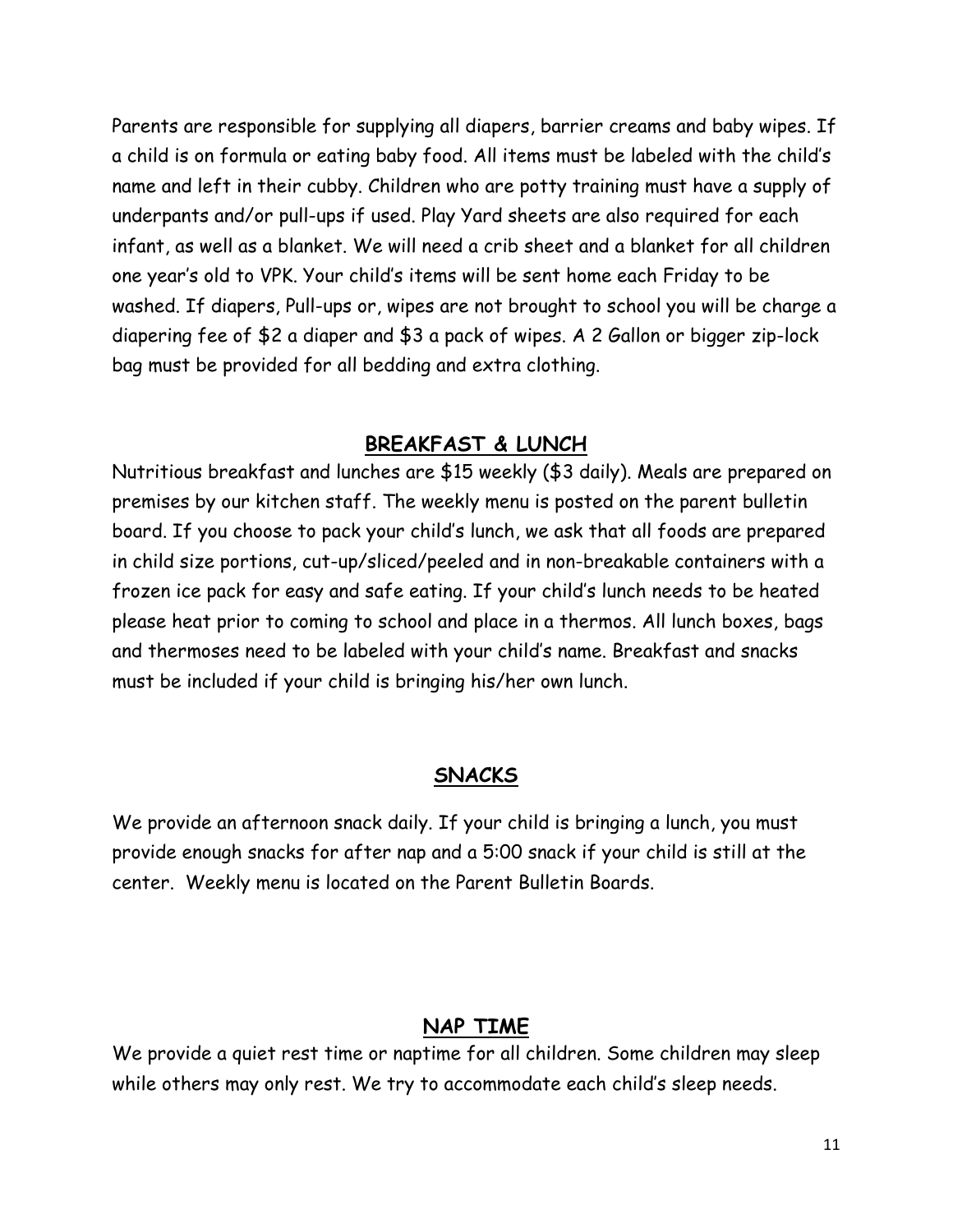Parents are responsible for supplying all diapers, barrier creams and baby wipes. If a child is on formula or eating baby food. All items must be labeled with the child's name and left in their cubby. Children who are potty training must have a supply of underpants and/or pull-ups if used. Play Yard sheets are also required for each infant, as well as a blanket. We will need a crib sheet and a blanket for all children one year's old to VPK. Your child's items will be sent home each Friday to be washed. If diapers, Pull-ups or, wipes are not brought to school you will be charge a diapering fee of \$2 a diaper and \$3 a pack of wipes. A 2 Gallon or bigger zip-lock bag must be provided for all bedding and extra clothing.

### **BREAKFAST & LUNCH**

Nutritious breakfast and lunches are \$15 weekly (\$3 daily). Meals are prepared on premises by our kitchen staff. The weekly menu is posted on the parent bulletin board. If you choose to pack your child's lunch, we ask that all foods are prepared in child size portions, cut-up/sliced/peeled and in non-breakable containers with a frozen ice pack for easy and safe eating. If your child's lunch needs to be heated please heat prior to coming to school and place in a thermos. All lunch boxes, bags and thermoses need to be labeled with your child's name. Breakfast and snacks must be included if your child is bringing his/her own lunch.

#### **SNACKS**

We provide an afternoon snack daily. If your child is bringing a lunch, you must provide enough snacks for after nap and a 5:00 snack if your child is still at the center. Weekly menu is located on the Parent Bulletin Boards.

#### **NAP TIME**

We provide a quiet rest time or naptime for all children. Some children may sleep while others may only rest. We try to accommodate each child's sleep needs.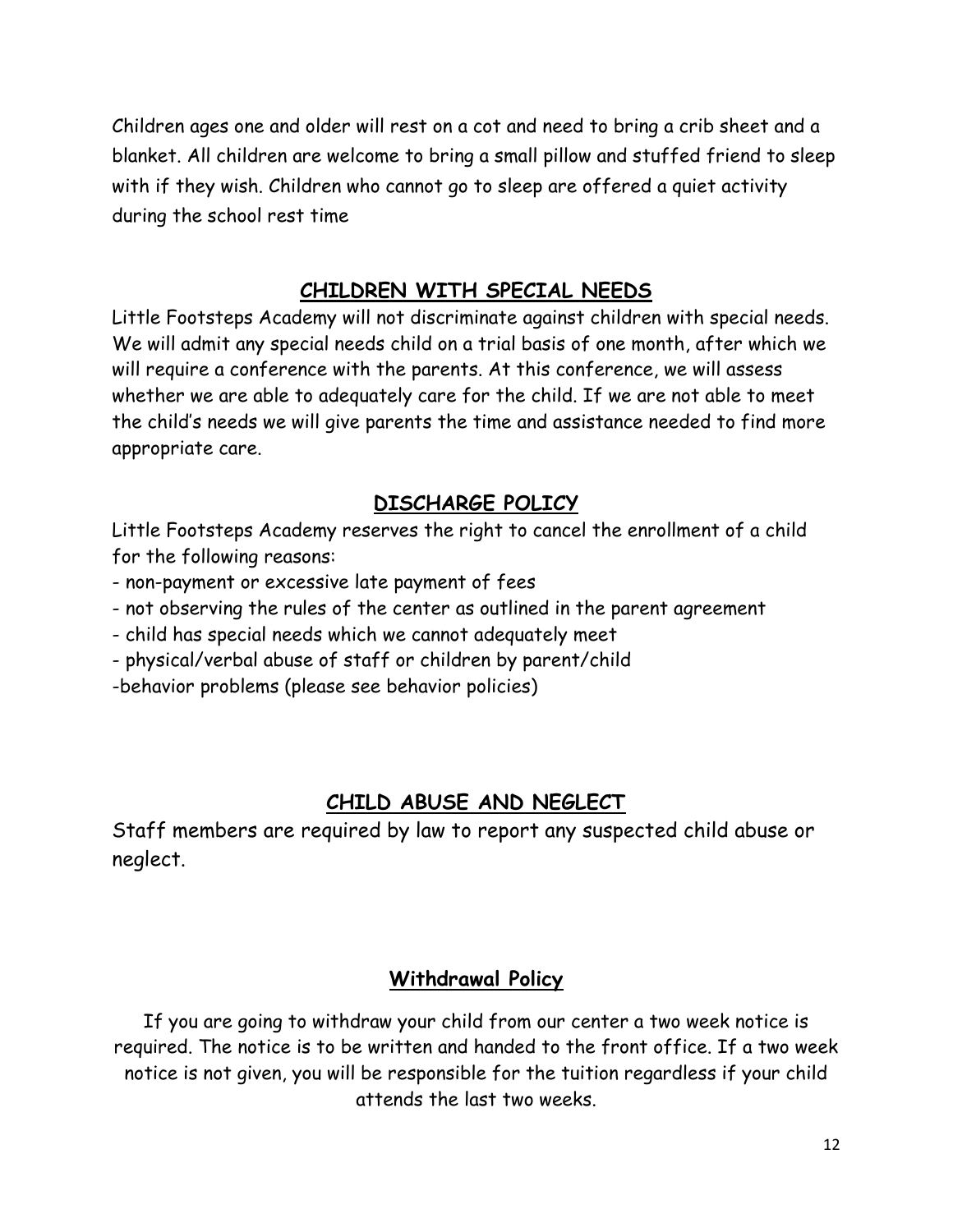Children ages one and older will rest on a cot and need to bring a crib sheet and a blanket. All children are welcome to bring a small pillow and stuffed friend to sleep with if they wish. Children who cannot go to sleep are offered a quiet activity during the school rest time

## **CHILDREN WITH SPECIAL NEEDS**

Little Footsteps Academy will not discriminate against children with special needs. We will admit any special needs child on a trial basis of one month, after which we will require a conference with the parents. At this conference, we will assess whether we are able to adequately care for the child. If we are not able to meet the child's needs we will give parents the time and assistance needed to find more appropriate care.

## **DISCHARGE POLICY**

Little Footsteps Academy reserves the right to cancel the enrollment of a child for the following reasons:

- non-payment or excessive late payment of fees

- not observing the rules of the center as outlined in the parent agreement

- child has special needs which we cannot adequately meet

- physical/verbal abuse of staff or children by parent/child

-behavior problems (please see behavior policies)

## **CHILD ABUSE AND NEGLECT**

Staff members are required by law to report any suspected child abuse or neglect.

## **Withdrawal Policy**

If you are going to withdraw your child from our center a two week notice is required. The notice is to be written and handed to the front office. If a two week notice is not given, you will be responsible for the tuition regardless if your child attends the last two weeks.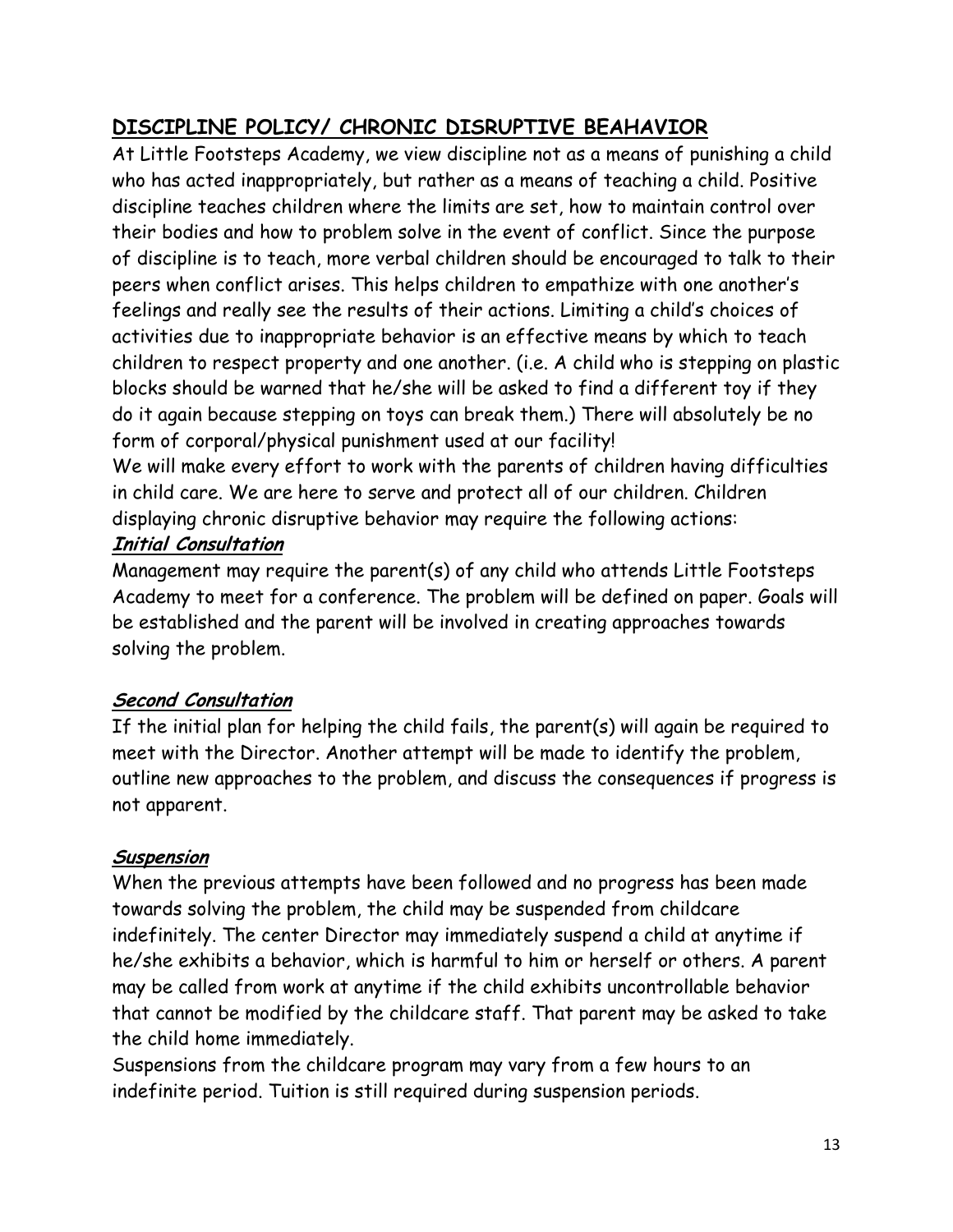# **DISCIPLINE POLICY/ CHRONIC DISRUPTIVE BEAHAVIOR**

At Little Footsteps Academy, we view discipline not as a means of punishing a child who has acted inappropriately, but rather as a means of teaching a child. Positive discipline teaches children where the limits are set, how to maintain control over their bodies and how to problem solve in the event of conflict. Since the purpose of discipline is to teach, more verbal children should be encouraged to talk to their peers when conflict arises. This helps children to empathize with one another's feelings and really see the results of their actions. Limiting a child's choices of activities due to inappropriate behavior is an effective means by which to teach children to respect property and one another. (i.e. A child who is stepping on plastic blocks should be warned that he/she will be asked to find a different toy if they do it again because stepping on toys can break them.) There will absolutely be no form of corporal/physical punishment used at our facility!

We will make every effort to work with the parents of children having difficulties in child care. We are here to serve and protect all of our children. Children displaying chronic disruptive behavior may require the following actions: **Initial Consultation** 

Management may require the parent(s) of any child who attends Little Footsteps Academy to meet for a conference. The problem will be defined on paper. Goals will be established and the parent will be involved in creating approaches towards solving the problem.

## **Second Consultation**

If the initial plan for helping the child fails, the parent(s) will again be required to meet with the Director. Another attempt will be made to identify the problem, outline new approaches to the problem, and discuss the consequences if progress is not apparent.

## **Suspension**

When the previous attempts have been followed and no progress has been made towards solving the problem, the child may be suspended from childcare indefinitely. The center Director may immediately suspend a child at anytime if he/she exhibits a behavior, which is harmful to him or herself or others. A parent may be called from work at anytime if the child exhibits uncontrollable behavior that cannot be modified by the childcare staff. That parent may be asked to take the child home immediately.

Suspensions from the childcare program may vary from a few hours to an indefinite period. Tuition is still required during suspension periods.